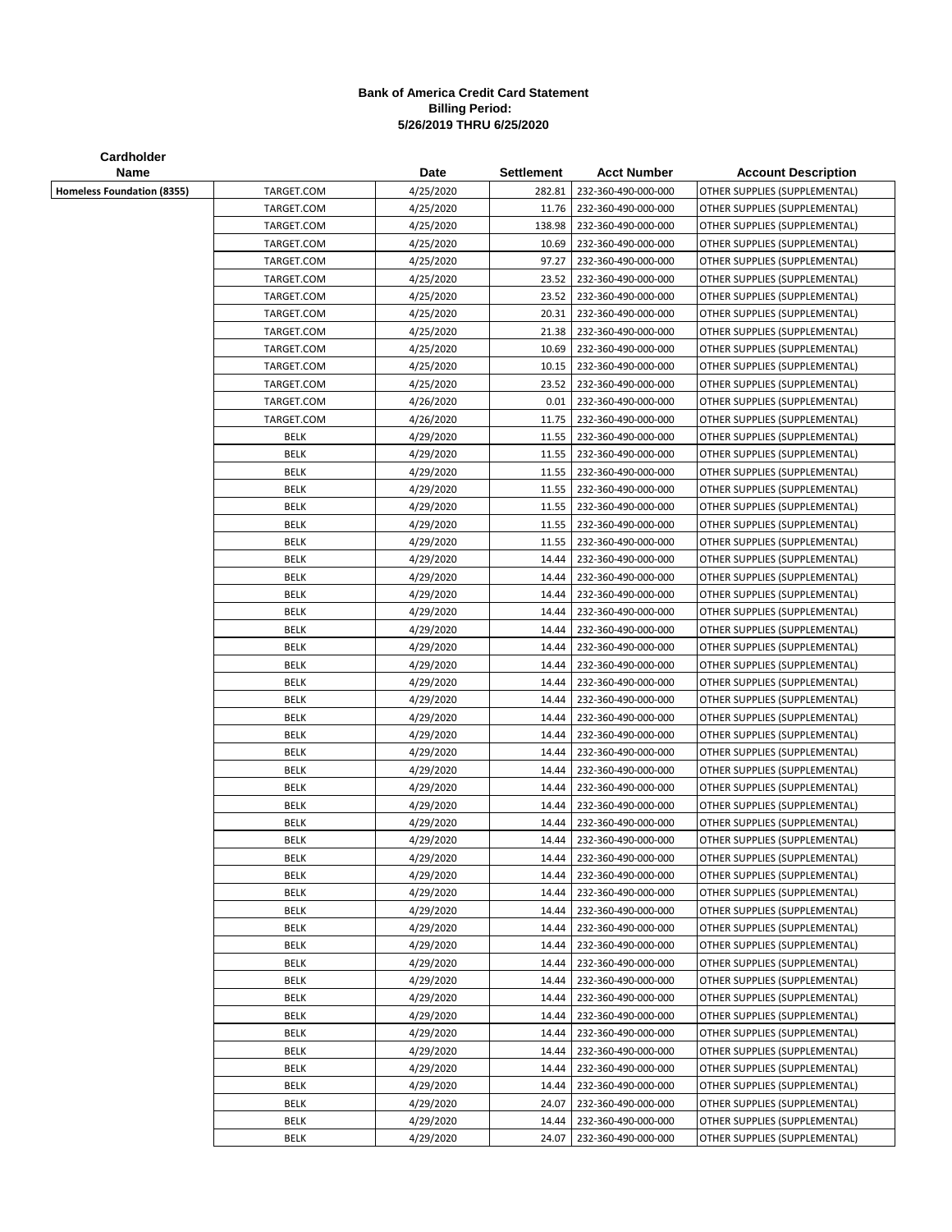## **Bank of America Credit Card Statement Billing Period: 5/26/2019 THRU 6/25/2020**

| Cardholder                        |             |           |                   |                     |                               |
|-----------------------------------|-------------|-----------|-------------------|---------------------|-------------------------------|
| Name                              |             | Date      | <b>Settlement</b> | <b>Acct Number</b>  | <b>Account Description</b>    |
| <b>Homeless Foundation (8355)</b> | TARGET.COM  | 4/25/2020 | 282.81            | 232-360-490-000-000 | OTHER SUPPLIES (SUPPLEMENTAL) |
|                                   | TARGET.COM  | 4/25/2020 | 11.76             | 232-360-490-000-000 | OTHER SUPPLIES (SUPPLEMENTAL) |
|                                   | TARGET.COM  | 4/25/2020 | 138.98            | 232-360-490-000-000 | OTHER SUPPLIES (SUPPLEMENTAL) |
|                                   | TARGET.COM  | 4/25/2020 | 10.69             | 232-360-490-000-000 | OTHER SUPPLIES (SUPPLEMENTAL) |
|                                   | TARGET.COM  | 4/25/2020 | 97.27             | 232-360-490-000-000 | OTHER SUPPLIES (SUPPLEMENTAL) |
|                                   | TARGET.COM  | 4/25/2020 | 23.52             | 232-360-490-000-000 | OTHER SUPPLIES (SUPPLEMENTAL) |
|                                   | TARGET.COM  | 4/25/2020 | 23.52             | 232-360-490-000-000 | OTHER SUPPLIES (SUPPLEMENTAL) |
|                                   | TARGET.COM  | 4/25/2020 | 20.31             | 232-360-490-000-000 | OTHER SUPPLIES (SUPPLEMENTAL) |
|                                   | TARGET.COM  | 4/25/2020 | 21.38             | 232-360-490-000-000 | OTHER SUPPLIES (SUPPLEMENTAL) |
|                                   | TARGET.COM  | 4/25/2020 | 10.69             | 232-360-490-000-000 | OTHER SUPPLIES (SUPPLEMENTAL) |
|                                   | TARGET.COM  | 4/25/2020 | 10.15             | 232-360-490-000-000 | OTHER SUPPLIES (SUPPLEMENTAL) |
|                                   | TARGET.COM  | 4/25/2020 | 23.52             | 232-360-490-000-000 | OTHER SUPPLIES (SUPPLEMENTAL) |
|                                   | TARGET.COM  | 4/26/2020 | 0.01              | 232-360-490-000-000 | OTHER SUPPLIES (SUPPLEMENTAL) |
|                                   | TARGET.COM  | 4/26/2020 | 11.75             | 232-360-490-000-000 | OTHER SUPPLIES (SUPPLEMENTAL) |
|                                   | <b>BELK</b> | 4/29/2020 | 11.55             | 232-360-490-000-000 | OTHER SUPPLIES (SUPPLEMENTAL) |
|                                   | BELK        | 4/29/2020 | 11.55             | 232-360-490-000-000 | OTHER SUPPLIES (SUPPLEMENTAL) |
|                                   | <b>BELK</b> | 4/29/2020 | 11.55             | 232-360-490-000-000 | OTHER SUPPLIES (SUPPLEMENTAL) |
|                                   | <b>BELK</b> | 4/29/2020 | 11.55             | 232-360-490-000-000 | OTHER SUPPLIES (SUPPLEMENTAL) |
|                                   | <b>BELK</b> | 4/29/2020 | 11.55             | 232-360-490-000-000 | OTHER SUPPLIES (SUPPLEMENTAL) |
|                                   | BELK        | 4/29/2020 | 11.55             | 232-360-490-000-000 | OTHER SUPPLIES (SUPPLEMENTAL) |
|                                   | <b>BELK</b> | 4/29/2020 | 11.55             | 232-360-490-000-000 | OTHER SUPPLIES (SUPPLEMENTAL) |
|                                   | <b>BELK</b> | 4/29/2020 | 14.44             | 232-360-490-000-000 | OTHER SUPPLIES (SUPPLEMENTAL) |
|                                   | <b>BELK</b> | 4/29/2020 | 14.44             | 232-360-490-000-000 | OTHER SUPPLIES (SUPPLEMENTAL) |
|                                   | BELK        | 4/29/2020 | 14.44             | 232-360-490-000-000 | OTHER SUPPLIES (SUPPLEMENTAL) |
|                                   | <b>BELK</b> | 4/29/2020 | 14.44             | 232-360-490-000-000 | OTHER SUPPLIES (SUPPLEMENTAL) |
|                                   | <b>BELK</b> | 4/29/2020 | 14.44             | 232-360-490-000-000 | OTHER SUPPLIES (SUPPLEMENTAL) |
|                                   | <b>BELK</b> | 4/29/2020 | 14.44             | 232-360-490-000-000 | OTHER SUPPLIES (SUPPLEMENTAL) |
|                                   | <b>BELK</b> | 4/29/2020 | 14.44             | 232-360-490-000-000 | OTHER SUPPLIES (SUPPLEMENTAL) |
|                                   | <b>BELK</b> | 4/29/2020 | 14.44             | 232-360-490-000-000 | OTHER SUPPLIES (SUPPLEMENTAL) |
|                                   | <b>BELK</b> | 4/29/2020 | 14.44             | 232-360-490-000-000 | OTHER SUPPLIES (SUPPLEMENTAL) |
|                                   | <b>BELK</b> | 4/29/2020 | 14.44             | 232-360-490-000-000 | OTHER SUPPLIES (SUPPLEMENTAL) |
|                                   | <b>BELK</b> | 4/29/2020 | 14.44             | 232-360-490-000-000 | OTHER SUPPLIES (SUPPLEMENTAL) |
|                                   | <b>BELK</b> | 4/29/2020 | 14.44             | 232-360-490-000-000 | OTHER SUPPLIES (SUPPLEMENTAL) |
|                                   | <b>BELK</b> | 4/29/2020 | 14.44             | 232-360-490-000-000 | OTHER SUPPLIES (SUPPLEMENTAL) |
|                                   | <b>BELK</b> | 4/29/2020 | 14.44             | 232-360-490-000-000 | OTHER SUPPLIES (SUPPLEMENTAL) |
|                                   | <b>BELK</b> | 4/29/2020 | 14.44             | 232-360-490-000-000 | OTHER SUPPLIES (SUPPLEMENTAL) |
|                                   | <b>BELK</b> | 4/29/2020 | 14.44             | 232-360-490-000-000 | OTHER SUPPLIES (SUPPLEMENTAL) |
|                                   | <b>BELK</b> | 4/29/2020 | 14.44             | 232-360-490-000-000 | OTHER SUPPLIES (SUPPLEMENTAL) |
|                                   | <b>BELK</b> | 4/29/2020 | 14.44             | 232-360-490-000-000 | OTHER SUPPLIES (SUPPLEMENTAL) |
|                                   | BELK        | 4/29/2020 | 14.44             | 232-360-490-000-000 | OTHER SUPPLIES (SUPPLEMENTAL) |
|                                   | <b>BELK</b> | 4/29/2020 | 14.44             | 232-360-490-000-000 | OTHER SUPPLIES (SUPPLEMENTAL) |
|                                   | <b>BELK</b> | 4/29/2020 | 14.44             | 232-360-490-000-000 | OTHER SUPPLIES (SUPPLEMENTAL) |
|                                   | <b>BELK</b> | 4/29/2020 | 14.44             | 232-360-490-000-000 | OTHER SUPPLIES (SUPPLEMENTAL) |
|                                   | <b>BELK</b> | 4/29/2020 | 14.44             | 232-360-490-000-000 | OTHER SUPPLIES (SUPPLEMENTAL) |
|                                   | <b>BELK</b> | 4/29/2020 | 14.44             | 232-360-490-000-000 | OTHER SUPPLIES (SUPPLEMENTAL) |
|                                   | <b>BELK</b> | 4/29/2020 | 14.44             | 232-360-490-000-000 | OTHER SUPPLIES (SUPPLEMENTAL) |
|                                   | <b>BELK</b> | 4/29/2020 | 14.44             | 232-360-490-000-000 | OTHER SUPPLIES (SUPPLEMENTAL) |
|                                   | BELK        | 4/29/2020 | 14.44             | 232-360-490-000-000 | OTHER SUPPLIES (SUPPLEMENTAL) |
|                                   | BELK        | 4/29/2020 | 14.44             | 232-360-490-000-000 | OTHER SUPPLIES (SUPPLEMENTAL) |
|                                   | <b>BELK</b> | 4/29/2020 | 14.44             | 232-360-490-000-000 | OTHER SUPPLIES (SUPPLEMENTAL) |
|                                   | <b>BELK</b> | 4/29/2020 | 14.44             | 232-360-490-000-000 | OTHER SUPPLIES (SUPPLEMENTAL) |
|                                   | <b>BELK</b> | 4/29/2020 | 14.44             | 232-360-490-000-000 | OTHER SUPPLIES (SUPPLEMENTAL) |
|                                   | BELK        | 4/29/2020 | 24.07             | 232-360-490-000-000 | OTHER SUPPLIES (SUPPLEMENTAL) |
|                                   | <b>BELK</b> | 4/29/2020 | 14.44             | 232-360-490-000-000 | OTHER SUPPLIES (SUPPLEMENTAL) |
|                                   | <b>BELK</b> | 4/29/2020 | 24.07             | 232-360-490-000-000 | OTHER SUPPLIES (SUPPLEMENTAL) |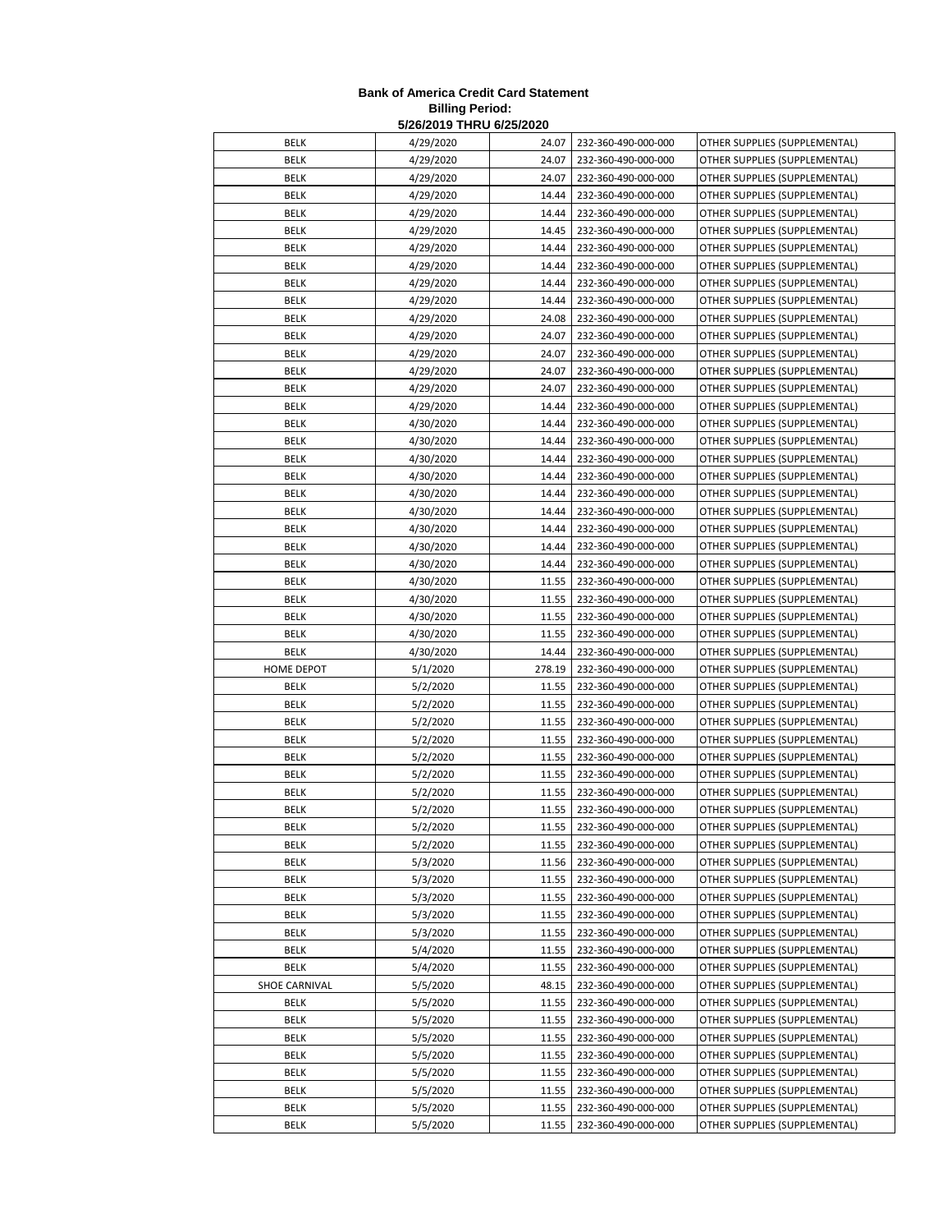## **Bank of America Credit Card Statement Billing Period: 5/26/2019 THRU 6/25/2020**

| BELK          | 4/29/2020 | 24.07  | 232-360-490-000-000 | OTHER SUPPLIES (SUPPLEMENTAL) |
|---------------|-----------|--------|---------------------|-------------------------------|
| BELK          | 4/29/2020 | 24.07  | 232-360-490-000-000 | OTHER SUPPLIES (SUPPLEMENTAL) |
| <b>BELK</b>   | 4/29/2020 | 24.07  | 232-360-490-000-000 | OTHER SUPPLIES (SUPPLEMENTAL) |
| BELK          | 4/29/2020 | 14.44  | 232-360-490-000-000 | OTHER SUPPLIES (SUPPLEMENTAL) |
| <b>BELK</b>   | 4/29/2020 | 14.44  | 232-360-490-000-000 | OTHER SUPPLIES (SUPPLEMENTAL) |
| BELK          | 4/29/2020 | 14.45  | 232-360-490-000-000 | OTHER SUPPLIES (SUPPLEMENTAL) |
| <b>BELK</b>   | 4/29/2020 | 14.44  | 232-360-490-000-000 | OTHER SUPPLIES (SUPPLEMENTAL) |
| BELK          | 4/29/2020 | 14.44  | 232-360-490-000-000 | OTHER SUPPLIES (SUPPLEMENTAL) |
| BELK          | 4/29/2020 | 14.44  | 232-360-490-000-000 | OTHER SUPPLIES (SUPPLEMENTAL) |
| <b>BELK</b>   | 4/29/2020 | 14.44  | 232-360-490-000-000 | OTHER SUPPLIES (SUPPLEMENTAL) |
| BELK          | 4/29/2020 | 24.08  | 232-360-490-000-000 | OTHER SUPPLIES (SUPPLEMENTAL) |
| BELK          | 4/29/2020 | 24.07  | 232-360-490-000-000 | OTHER SUPPLIES (SUPPLEMENTAL) |
| BELK          | 4/29/2020 | 24.07  | 232-360-490-000-000 | OTHER SUPPLIES (SUPPLEMENTAL) |
| <b>BELK</b>   | 4/29/2020 | 24.07  | 232-360-490-000-000 | OTHER SUPPLIES (SUPPLEMENTAL) |
| BELK          | 4/29/2020 | 24.07  | 232-360-490-000-000 | OTHER SUPPLIES (SUPPLEMENTAL) |
| <b>BELK</b>   | 4/29/2020 | 14.44  | 232-360-490-000-000 | OTHER SUPPLIES (SUPPLEMENTAL) |
| BELK          | 4/30/2020 | 14.44  | 232-360-490-000-000 | OTHER SUPPLIES (SUPPLEMENTAL) |
| BELK          | 4/30/2020 | 14.44  | 232-360-490-000-000 | OTHER SUPPLIES (SUPPLEMENTAL) |
| BELK          | 4/30/2020 | 14.44  | 232-360-490-000-000 | OTHER SUPPLIES (SUPPLEMENTAL) |
| <b>BELK</b>   | 4/30/2020 | 14.44  | 232-360-490-000-000 | OTHER SUPPLIES (SUPPLEMENTAL) |
| BELK          | 4/30/2020 | 14.44  | 232-360-490-000-000 | OTHER SUPPLIES (SUPPLEMENTAL) |
| <b>BELK</b>   | 4/30/2020 | 14.44  | 232-360-490-000-000 | OTHER SUPPLIES (SUPPLEMENTAL) |
| BELK          | 4/30/2020 | 14.44  | 232-360-490-000-000 | OTHER SUPPLIES (SUPPLEMENTAL) |
| BELK          | 4/30/2020 | 14.44  | 232-360-490-000-000 | OTHER SUPPLIES (SUPPLEMENTAL) |
| BELK          | 4/30/2020 | 14.44  | 232-360-490-000-000 | OTHER SUPPLIES (SUPPLEMENTAL) |
| BELK          | 4/30/2020 | 11.55  | 232-360-490-000-000 | OTHER SUPPLIES (SUPPLEMENTAL) |
| BELK          | 4/30/2020 | 11.55  | 232-360-490-000-000 | OTHER SUPPLIES (SUPPLEMENTAL) |
| BELK          | 4/30/2020 | 11.55  | 232-360-490-000-000 | OTHER SUPPLIES (SUPPLEMENTAL) |
| BELK          | 4/30/2020 | 11.55  | 232-360-490-000-000 | OTHER SUPPLIES (SUPPLEMENTAL) |
| <b>BELK</b>   | 4/30/2020 | 14.44  | 232-360-490-000-000 | OTHER SUPPLIES (SUPPLEMENTAL) |
| HOME DEPOT    | 5/1/2020  | 278.19 | 232-360-490-000-000 | OTHER SUPPLIES (SUPPLEMENTAL) |
| BELK          | 5/2/2020  | 11.55  | 232-360-490-000-000 | OTHER SUPPLIES (SUPPLEMENTAL) |
| <b>BELK</b>   | 5/2/2020  | 11.55  | 232-360-490-000-000 | OTHER SUPPLIES (SUPPLEMENTAL) |
| BELK          | 5/2/2020  | 11.55  | 232-360-490-000-000 | OTHER SUPPLIES (SUPPLEMENTAL) |
| <b>BELK</b>   | 5/2/2020  | 11.55  | 232-360-490-000-000 | OTHER SUPPLIES (SUPPLEMENTAL) |
| BELK          | 5/2/2020  | 11.55  | 232-360-490-000-000 | OTHER SUPPLIES (SUPPLEMENTAL) |
| <b>BELK</b>   | 5/2/2020  | 11.55  | 232-360-490-000-000 | OTHER SUPPLIES (SUPPLEMENTAL) |
| BELK          | 5/2/2020  | 11.55  | 232-360-490-000-000 | OTHER SUPPLIES (SUPPLEMENTAL) |
| <b>BELK</b>   | 5/2/2020  | 11.55  | 232-360-490-000-000 | OTHER SUPPLIES (SUPPLEMENTAL) |
| BELK          | 5/2/2020  | 11.55  | 232-360-490-000-000 | OTHER SUPPLIES (SUPPLEMENTAL) |
| BELK          | 5/2/2020  | 11.55  | 232-360-490-000-000 | OTHER SUPPLIES (SUPPLEMENTAL) |
| <b>BELK</b>   | 5/3/2020  | 11.56  | 232-360-490-000-000 | OTHER SUPPLIES (SUPPLEMENTAL) |
| <b>BELK</b>   | 5/3/2020  | 11.55  | 232-360-490-000-000 | OTHER SUPPLIES (SUPPLEMENTAL) |
| BELK          | 5/3/2020  | 11.55  | 232-360-490-000-000 | OTHER SUPPLIES (SUPPLEMENTAL) |
| BELK          | 5/3/2020  | 11.55  | 232-360-490-000-000 | OTHER SUPPLIES (SUPPLEMENTAL) |
| BELK          | 5/3/2020  | 11.55  | 232-360-490-000-000 | OTHER SUPPLIES (SUPPLEMENTAL) |
| BELK          | 5/4/2020  | 11.55  | 232-360-490-000-000 | OTHER SUPPLIES (SUPPLEMENTAL) |
| BELK          | 5/4/2020  | 11.55  | 232-360-490-000-000 | OTHER SUPPLIES (SUPPLEMENTAL) |
| SHOE CARNIVAL | 5/5/2020  | 48.15  | 232-360-490-000-000 | OTHER SUPPLIES (SUPPLEMENTAL) |
| BELK          | 5/5/2020  | 11.55  | 232-360-490-000-000 | OTHER SUPPLIES (SUPPLEMENTAL) |
| BELK          | 5/5/2020  | 11.55  | 232-360-490-000-000 | OTHER SUPPLIES (SUPPLEMENTAL) |
| BELK          | 5/5/2020  | 11.55  | 232-360-490-000-000 | OTHER SUPPLIES (SUPPLEMENTAL) |
| BELK          | 5/5/2020  | 11.55  | 232-360-490-000-000 | OTHER SUPPLIES (SUPPLEMENTAL) |
| BELK          | 5/5/2020  | 11.55  | 232-360-490-000-000 | OTHER SUPPLIES (SUPPLEMENTAL) |
| BELK          | 5/5/2020  | 11.55  | 232-360-490-000-000 | OTHER SUPPLIES (SUPPLEMENTAL) |
| BELK          | 5/5/2020  | 11.55  | 232-360-490-000-000 | OTHER SUPPLIES (SUPPLEMENTAL) |
| BELK          | 5/5/2020  | 11.55  | 232-360-490-000-000 | OTHER SUPPLIES (SUPPLEMENTAL) |